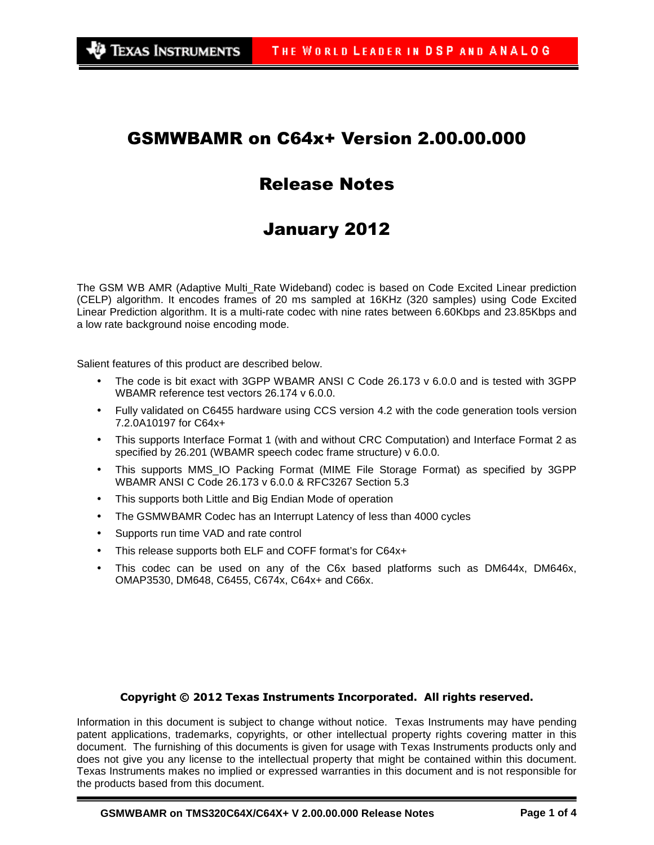## GSMWBAMR on C64x+ Version 2.00.00.000

# Release Notes

# January 2012

The GSM WB AMR (Adaptive Multi\_Rate Wideband) codec is based on Code Excited Linear prediction (CELP) algorithm. It encodes frames of 20 ms sampled at 16KHz (320 samples) using Code Excited Linear Prediction algorithm. It is a multi-rate codec with nine rates between 6.60Kbps and 23.85Kbps and a low rate background noise encoding mode.

Salient features of this product are described below.

- The code is bit exact with 3GPP WBAMR ANSI C Code 26.173 v 6.0.0 and is tested with 3GPP WBAMR reference test vectors 26.174 v 6.0.0.
- Fully validated on C6455 hardware using CCS version 4.2 with the code generation tools version 7.2.0A10197 for C64x+
- This supports Interface Format 1 (with and without CRC Computation) and Interface Format 2 as specified by 26.201 (WBAMR speech codec frame structure) v 6.0.0.
- This supports MMS\_IO Packing Format (MIME File Storage Format) as specified by 3GPP WBAMR ANSI C Code 26.173 v 6.0.0 & RFC3267 Section 5.3
- This supports both Little and Big Endian Mode of operation
- The GSMWBAMR Codec has an Interrupt Latency of less than 4000 cycles
- Supports run time VAD and rate control
- This release supports both ELF and COFF format's for C64x+
- This codec can be used on any of the C6x based platforms such as DM644x, DM646x, OMAP3530, DM648, C6455, C674x, C64x+ and C66x.

#### Copyright © 2012 Texas Instruments Incorporated. All rights reserved.

Information in this document is subject to change without notice. Texas Instruments may have pending patent applications, trademarks, copyrights, or other intellectual property rights covering matter in this document. The furnishing of this documents is given for usage with Texas Instruments products only and does not give you any license to the intellectual property that might be contained within this document. Texas Instruments makes no implied or expressed warranties in this document and is not responsible for the products based from this document.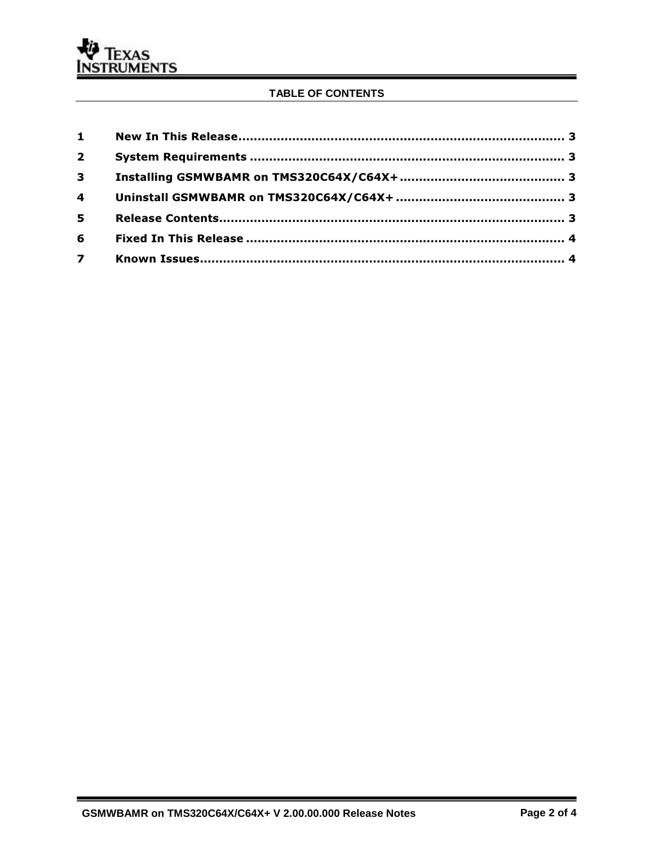#### TABLE OF CONTENTS

| $2^{\circ}$ |  |
|-------------|--|
| $3^{\circ}$ |  |
|             |  |
| 5           |  |
| 6           |  |
|             |  |

 $\equiv$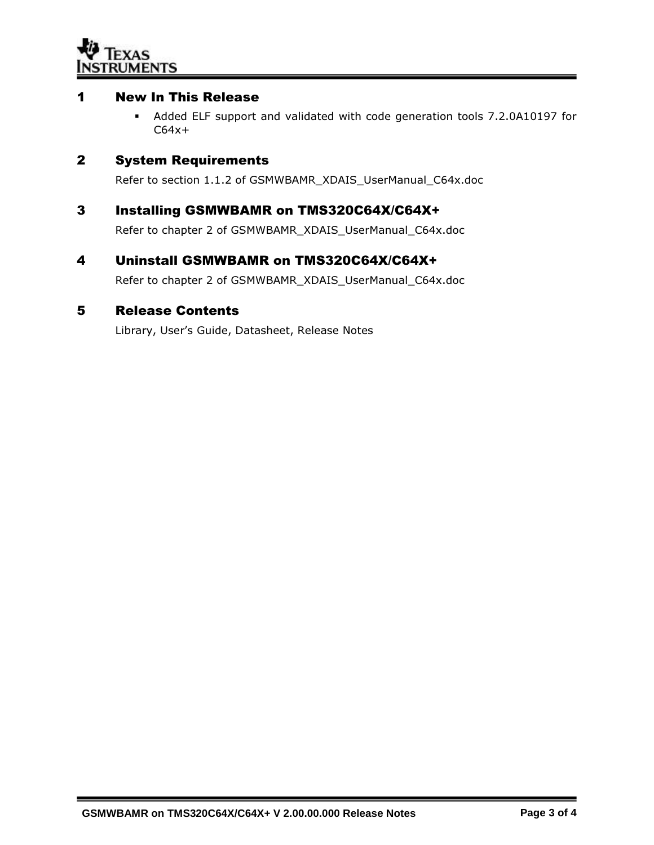

#### 1 New In This Release

 Added ELF support and validated with code generation tools 7.2.0A10197 for  $C64x+$ 

#### 2 System Requirements

Refer to section 1.1.2 of GSMWBAMR\_XDAIS\_UserManual\_C64x.doc

#### 3 Installing GSMWBAMR on TMS320C64X/C64X+

Refer to chapter 2 of GSMWBAMR\_XDAIS\_UserManual\_C64x.doc

#### 4 Uninstall GSMWBAMR on TMS320C64X/C64X+

Refer to chapter 2 of GSMWBAMR\_XDAIS\_UserManual\_C64x.doc

#### 5 Release Contents

Library, User's Guide, Datasheet, Release Notes